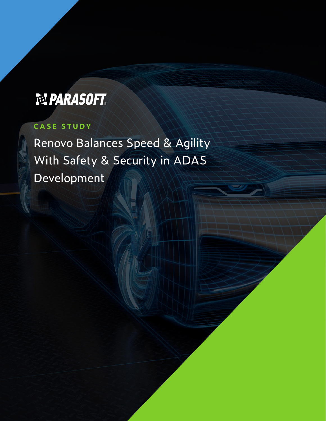# **NPARASOFT**

# **CASE STUDY**

Renovo Balances Speed & Agility With Safety & Security in ADAS Development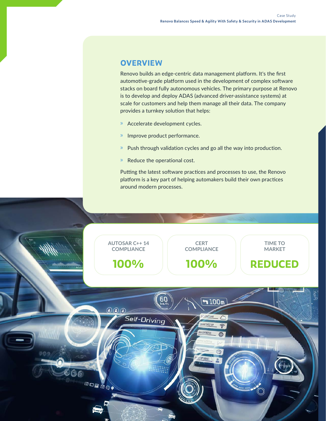## **OVERVIEW**

Renovo builds an edge-centric data management platform. It's the first automotive-grade platform used in the development of complex software stacks on board fully autonomous vehicles. The primary purpose at Renovo is to develop and deploy ADAS (advanced driver-assistance systems) at scale for customers and help them manage all their data. The company provides a turnkey solution that helps:

- » Accelerate development cycles.
- » Improve product performance.
- » Push through validation cycles and go all the way into production.
- » Reduce the operational cost.

Putting the latest software practices and processes to use, the Renovo platform is a key part of helping automakers build their own practices around modern processes.

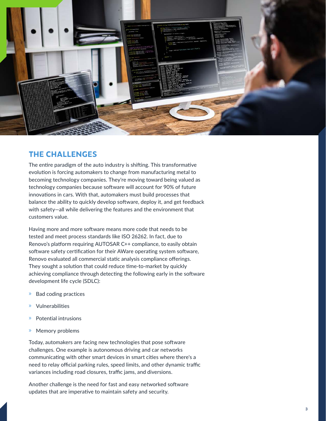

### **THE CHALLENGES**

The entire paradigm of the auto industry is shifting. This transformative evolution is forcing automakers to change from manufacturing metal to becoming technology companies. They're moving toward being valued as technology companies because software will account for 90% of future innovations in cars. With that, automakers must build processes that balance the ability to quickly develop software, deploy it, and get feedback with safety—all while delivering the features and the environment that customers value.

Having more and more software means more code that needs to be tested and meet process standards like ISO 26262. In fact, due to Renovo's platform requiring AUTOSAR C++ compliance, to easily obtain software safety certification for their AWare operating system software, Renovo evaluated all commercial static analysis compliance offerings. They sought a solution that could reduce time-to-market by quickly achieving compliance through detecting the following early in the software development life cycle (SDLC):

- » Bad coding practices
- » Vulnerabilities
- » Potential intrusions
- » Memory problems

Today, automakers are facing new technologies that pose software challenges. One example is autonomous driving and car networks communicating with other smart devices in smart cities where there's a need to relay official parking rules, speed limits, and other dynamic traffic variances including road closures, traffic jams, and diversions.

Another challenge is the need for fast and easy networked software updates that are imperative to maintain safety and security.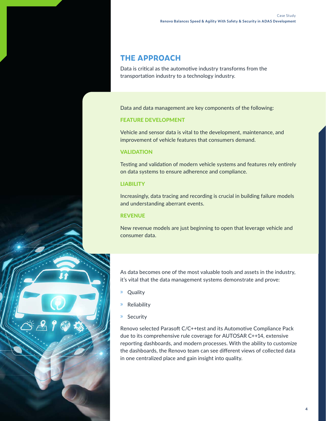## **THE APPROACH**

Data is critical as the automotive industry transforms from the transportation industry to a technology industry.

Data and data management are key components of the following:

#### FEATURE DEVELOPMENT

Vehicle and sensor data is vital to the development, maintenance, and improvement of vehicle features that consumers demand.

#### **VALIDATION**

Testing and validation of modern vehicle systems and features rely entirely on data systems to ensure adherence and compliance.

#### LIABILITY

Increasingly, data tracing and recording is crucial in building failure models and understanding aberrant events.

#### REVENUE

New revenue models are just beginning to open that leverage vehicle and consumer data.

As data becomes one of the most valuable tools and assets in the industry, it's vital that the data management systems demonstrate and prove:

- » Quality
- » Reliability
- » Security

Renovo selected Parasoft C/C++test and its Automotive Compliance Pack due to its comprehensive rule coverage for AUTOSAR C++14, extensive reporting dashboards, and modern processes. With the ability to customize the dashboards, the Renovo team can see different views of collected data in one centralized place and gain insight into quality.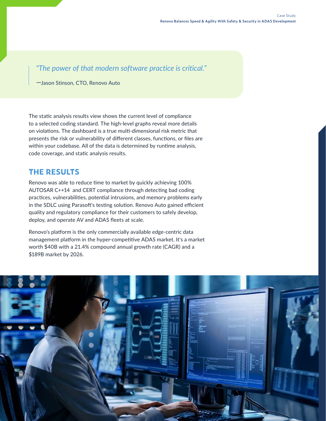*"The power of that modern software practice is critical."* 

*—*Jason Stinson, CTO, Renovo Auto

The static analysis results view shows the current level of compliance to a selected coding standard. The high-level graphs reveal more details on violations. The dashboard is a true multi-dimensional risk metric that presents the risk or vulnerability of different classes, functions, or files are within your codebase. All of the data is determined by runtime analysis, code coverage, and static analysis results.

## **THE RESULTS**

Renovo was able to reduce time to market by quickly achieving 100% AUTOSAR C++14 and CERT compliance through detecting bad coding practices, vulnerabilities, potential intrusions, and memory problems early in the SDLC using Parasoft's testing solution. Renovo Auto gained efficient quality and regulatory compliance for their customers to safely develop, deploy, and operate AV and ADAS fleets at scale.

Renovo's platform is the only commercially available edge-centric data management platform in the hyper-competitive ADAS market. It's a market worth \$40B with a 21.4% compound annual growth rate (CAGR) and a \$189B market by 2026.